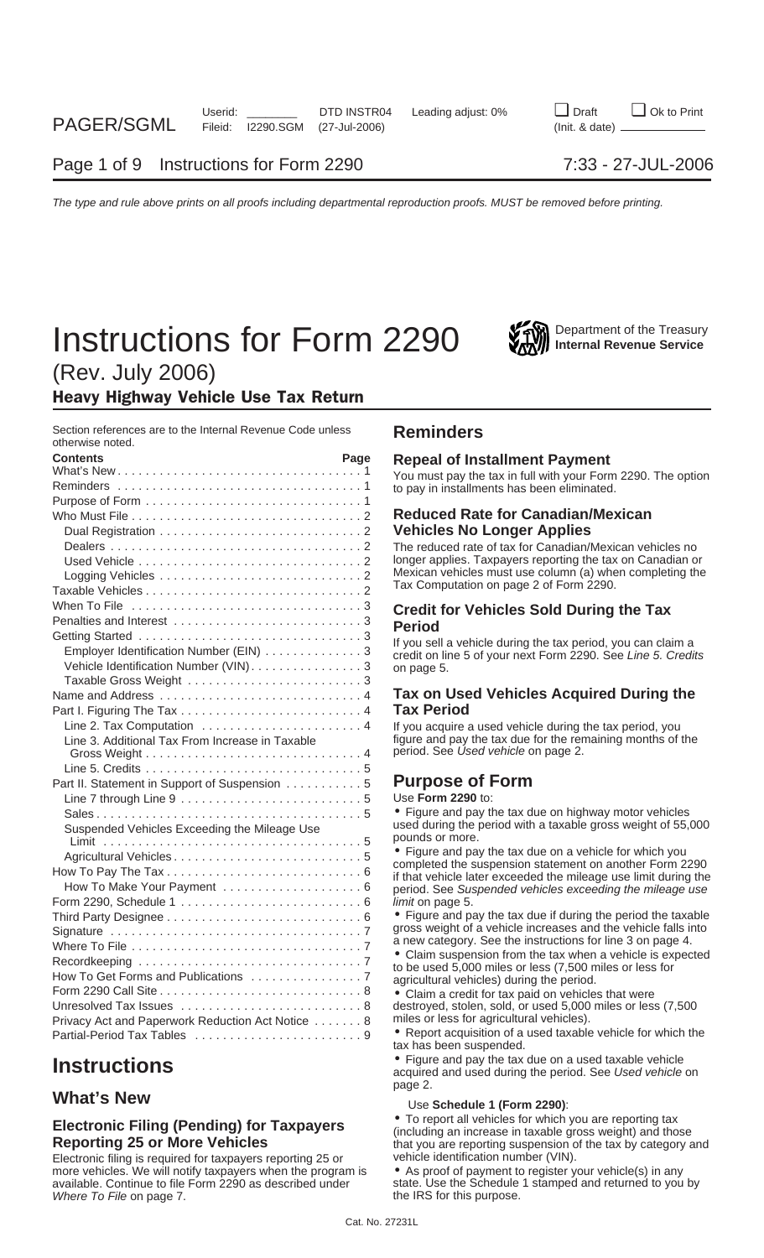# **Instructions for Form 2290** Will Department of the Treasury



(Rev. July 2006)

### Heavy Highway Vehicle Use Tax Return

Section references are to the Internal Revenue Code unless **Reminders** otherwise noted.

| <b>Contents</b>                                   | Page | <b>Repeal of Installment Payment</b>                                                                                         |
|---------------------------------------------------|------|------------------------------------------------------------------------------------------------------------------------------|
|                                                   |      | You must pay the tax in full with your Form 2290. The option<br>to pay in installments has been eliminated.                  |
|                                                   |      |                                                                                                                              |
|                                                   |      | <b>Reduced Rate for Canadian/Mexican</b>                                                                                     |
|                                                   |      | <b>Vehicles No Longer Applies</b>                                                                                            |
|                                                   |      | The reduced rate of tax for Canadian/Mexican vehicles no                                                                     |
|                                                   |      | longer applies. Taxpayers reporting the tax on Canadian or<br>Mexican vehicles must use column (a) when completing the       |
|                                                   |      | Tax Computation on page 2 of Form 2290.                                                                                      |
|                                                   |      | <b>Credit for Vehicles Sold During the Tax</b>                                                                               |
|                                                   |      | <b>Period</b>                                                                                                                |
|                                                   |      |                                                                                                                              |
| Employer Identification Number (EIN) 3            |      | If you sell a vehicle during the tax period, you can claim a<br>credit on line 5 of your next Form 2290. See Line 5. Credits |
| Vehicle Identification Number (VIN). 3            |      | on page 5.                                                                                                                   |
|                                                   |      |                                                                                                                              |
|                                                   |      | Tax on Used Vehicles Acquired During the                                                                                     |
|                                                   |      | <b>Tax Period</b>                                                                                                            |
|                                                   |      | If you acquire a used vehicle during the tax period, you                                                                     |
| Line 3. Additional Tax From Increase in Taxable   |      | figure and pay the tax due for the remaining months of the                                                                   |
|                                                   |      | period. See Used vehicle on page 2.                                                                                          |
|                                                   |      |                                                                                                                              |
| Part II. Statement in Support of Suspension 5     |      | <b>Purpose of Form</b>                                                                                                       |
|                                                   |      | Use Form 2290 to:                                                                                                            |
| Suspended Vehicles Exceeding the Mileage Use      |      | • Figure and pay the tax due on highway motor vehicles<br>used during the period with a taxable gross weight of 55,000       |
|                                                   |      | pounds or more.                                                                                                              |
|                                                   |      | • Figure and pay the tax due on a vehicle for which you<br>completed the suspension statement on another Form 2290           |
|                                                   |      | if that vehicle later exceeded the mileage use limit during the                                                              |
|                                                   |      | period. See Suspended vehicles exceeding the mileage use                                                                     |
|                                                   |      | limit on page 5.                                                                                                             |
|                                                   |      | • Figure and pay the tax due if during the period the taxable                                                                |
|                                                   |      | gross weight of a vehicle increases and the vehicle falls into                                                               |
|                                                   |      | a new category. See the instructions for line 3 on page 4.<br>• Claim suspension from the tax when a vehicle is expected     |
|                                                   |      | to be used 5,000 miles or less (7,500 miles or less for                                                                      |
|                                                   |      | agricultural vehicles) during the period.                                                                                    |
|                                                   |      | • Claim a credit for tax paid on vehicles that were                                                                          |
|                                                   |      | destroyed, stolen, sold, or used 5,000 miles or less (7,500                                                                  |
| Privacy Act and Paperwork Reduction Act Notice  8 |      | miles or less for agricultural vehicles).                                                                                    |
| Partial-Period Tax Tables 9                       |      | • Report acquisition of a used taxable vehicle for which the<br>$\overline{a}$                                               |

Electronic filing is required for taxpayers reporting 25 or more vehicles. We will notify taxpayers when the program is  $\bullet$  As proof of payment to register your vehicle(s) in any available. Continue to file Form 2290 as described under state. Use the Schedule 1 stamped and returne Where To File on page 7.

### **Reduced Rate for Canadian/Mexican Vehicles No Longer Applies**

### **Tax on Used Vehicles Acquired During the Tax Period**

### **Purpose of Form**

• Report acquisition of a used taxable vehicle for which the tax has been suspended.

**Instructions**<br>**Instructions** acquired and used during the period. See Used vehicle on a used taxable vehicle on a used taxable vehicle on page 2.

### **What's New What's New Schedule 1 (Form 2290):**

**Electronic Filing (Pending) for Taxpayers** <br> **e** To report all vehicles for which you are reporting tax<br> **Reporting 25 or More Vehicles**<br>
Electronic filing is required for taxpayers reporting 25 or<br>
Electronic filing is r

state. Use the Schedule 1 stamped and returned to you by the IRS for this purpose.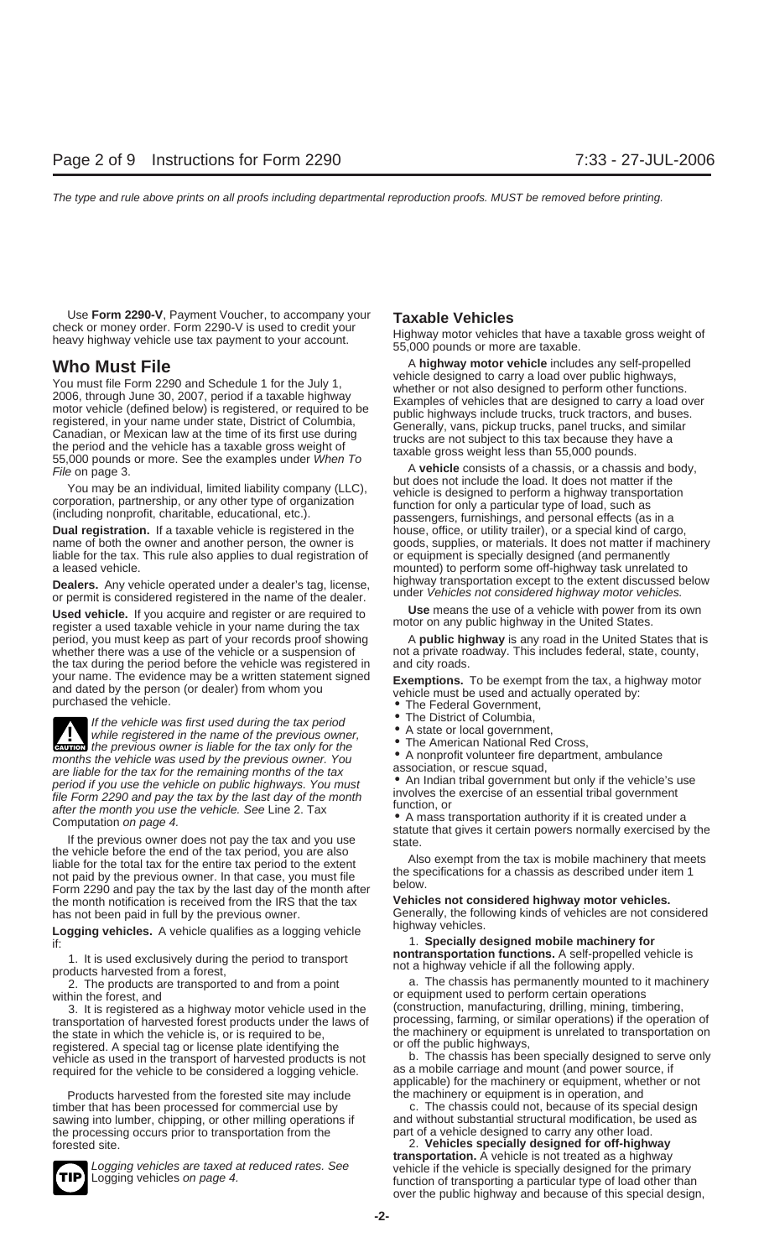Use **Form 2290-V**, Payment Voucher, to accompany your **Taxable Vehicles**

Volumest file Form 2290 and Schedule 1 for the July 1,<br>
You must file Form 2290 and Schedule 1 for the July 1,<br>
2006, through June 30, 2007, period if a taxable highway<br>
motor vehicle (defined below) is registered, or requ

**Dual registration.** If a taxable vehicle is registered in the house, office, or utility trailer), or a special kind of cargo, liable for the tax. This rule also applies to dual registration of a leased vehicle. mounted) to perform some off-highway task unrelated to

**Dealers.** Any vehicle operated under a dealer's tag, license, highway transportation except to the extent discussed below<br>or permit is considered registered in the name of the dealer. under *Vehicles not considered highwa* 

Used vehicle. If you acquire and register or are required to<br>register a used taxable vehicle in your name during the tax motor on any public highway in the United States.<br>period, you must keep as part of your records proof period, you must keep as part of your records proof showing whether there was a use of the vehicle or a suspension of not a private roadway. This includes federal, state, county, the tax during the period before the vehicle was registered in and city roads. your name. The evidence may be a written statement signed<br>and dated by the person (or dealer) from whom you<br>purchased the vehicle.<br>Fractional operations of the Federal Government,<br>Fraction of the vehicle was first used dur

If the vehicle was first used during the tax period<br>
while registered in the name of the previous owner,<br>
while registered in the name of the previous owner,<br>
The American National Red Cross, months the previous owner is liable for the tax only for the<br>
months the vehicle was used by the previous owner. You<br>
association, or rescue squad,<br>
association are liable for the tax for the remaining months of the tax<br>
a are liable for the tax for the remaining months of the tax<br>period if you use the vehicle on public highways. You must<br>file Form 2290 and pay the tax by the last day of the month<br>after the month you use the vehicle. See Lin

If the previous owner does not pay the tax and you use<br>the vehicle before the end of the tax period, you are also<br>liable for the total tax for the entire tax period to the extent<br>not paid by the previous owner. In that cas the month notification is received from the IRS that the tax

highway vehicles. **Logging vehicles.** A vehicle qualifies as a logging vehicle 1. **Specially designed mobile machinery for** if:

1. It is used exclusively during the period to transport<br>
nontransportation functions. A self-propelled vehicle is<br>
products harvested from a forest,<br>
2. The products are transported to and from a point<br>
2. The products ar

2. The products are transported to and from a point

3. It is registered as a highway motor vehicle used in the transportation of harvested forest products under the laws of processing, farming, or similar operations) if the operation of the state in which the vehicle is, or is required to be, the machinery or equipment is unrelated to transportation on requistered. A special tag or license plate identifying the solution of the public highways, registered. A special tag or license plate identifying the solution of the public highways,<br>vehicle as used in the transport of harvested products is not b. The chassis has been specially designed to serve only vehicle as used in the transport of harvested products is not b. The chassis has been specially designed to ser<br>required for the vehicle to be considered a logging vehicle as a mobile carriage and mount (and power source,

Products harvested from the forested site may include the machinery or equipment is in operation, and sawing into lumber, chipping, or other milling operations if and without substantial structural modification, be the processing occurs prior to transportation from the part of a vehicle designed to carry any other load. the processing occurs prior to transportation from the

check or money order. Form 2290-V is used to creatify your<br>heavy highway vehicle use tax payment to your account. 55,000 pounds or more are taxable.

**Who Must File** A highway motor vehicle includes any self-propelled<br>
Yengua file Fame 2000 and Other high A facilia high way a local discription of the self-propelled vehicle designed to carry a load over public highways,

File on page 3.<br>
You may be an individual, limited liability company (LLC),<br>
or a chassis of a chassis, or a chassis and body,<br>
but does not include the load. It does not matter if the<br>
corporation, partnership, or any oth name of both the owner and another person, the owner is goods, supplies, or materials. It does not matter if machinery liable for the tax. This rule also applies to dual registration of or equipment is specially designed (

- 
- 
- 
- 
- 
- 

has not been paid in full by the previous owner.<br>
I agging uphilogy of this budge and this budge of a lagging uphilogy of highway vehicles.

within the forest, and<br>3. It is registered as a highway motor vehicle used in the (construction, manufacturing, drilling, mining, timbering,

required for the vehicle to be considered a logging vehicle. as a mobile carriage and mount (and power source, if<br>applicable) for the machinery or equipment, whether or not

timber that has been processed for commercial use by example of the chassis could not, because of its special design<br>sawing into lumber, chipping, or other milling operations if and without substantial structural modificat

forested site. 2. **Vehicles specially designed for off-highway** Logging vehicles are taxed at reduced rates. See<br>
TIP Logging vehicles on page 4.<br>
tunction of transporting a particular type of load other than over the public highway and because of this special design,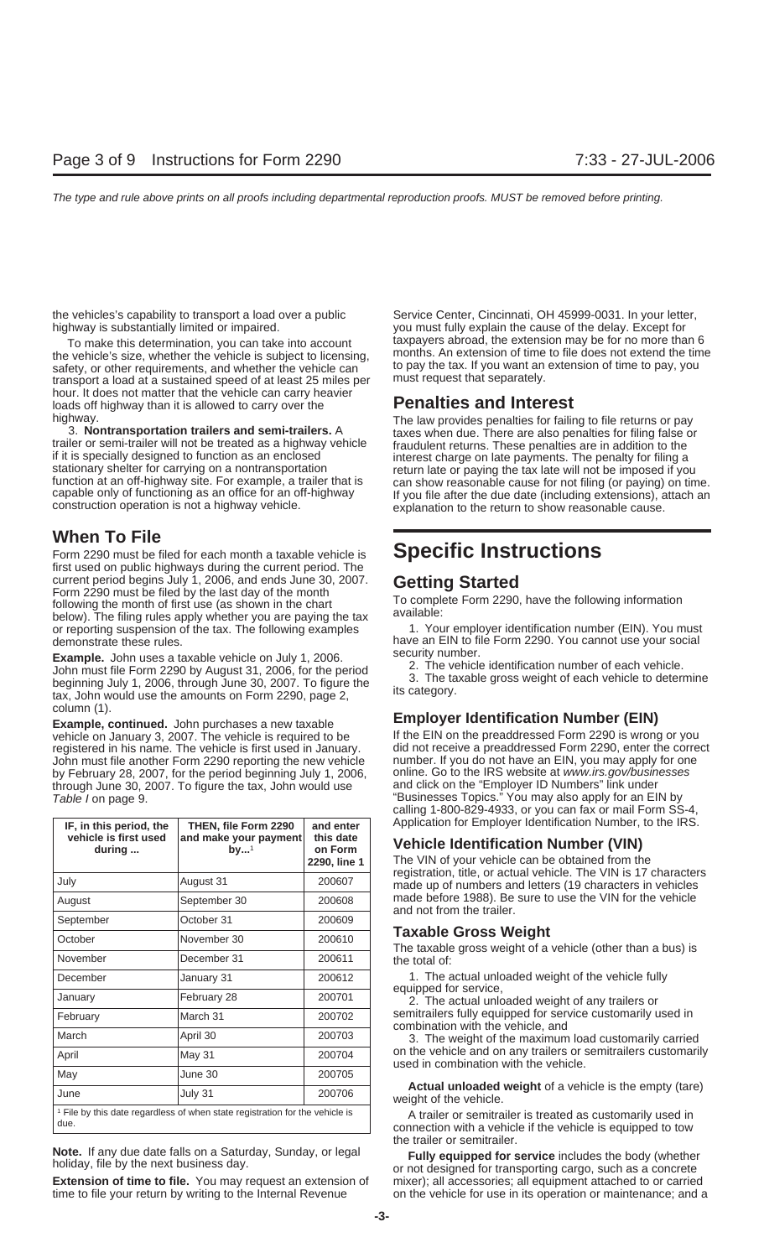highway is substantially limited or impaired. The same of the delay. Except for the delay. Except for

the vehicle's size, whether the vehicle is subject to licensing, months. An extension of time to file does not extend the time<br>safety or other requirements, and whether the vehicle can to pay the tax. If you want an extens safety, or other requirements, and whether the vehicle can to pay the tax. If you want an extension of the to pay the tax. If you want an extension of the vehicle can extension of the to pay, the separately. transport a load at a sustained speed of at least 25 miles per hour. It does not matter that the vehicle can carry heavier loads off highway than it is allowed to carry over the **Penalties and Interest** 

### **When To File**

Form 2290 must be filed for each month a taxable vehicle is **Specific Instructions** first used on public highways during the current period. The current period begins July 1, 2006, and ends June 30, 2007.<br>
Form 2290 must be filed by the last day of the month<br>
following the month of first use (as shown in the chart<br>
below). The filing rules apply whether you are pay or reporting suspension of the tax. The following examples demonstrate these rules.

**Example.** John uses a taxable vehicle on July 1, 2006.<br>
John must file Form 2290 by August 31, 2006, for the period<br>
beginning July 1, 2006, through June 30, 2007. To figure the and the same stars weight of each vehicle t

column (1). **Employer Identification Number (EIN) Example, continued.** John purchases a new taxable registered in his name. The vehicle is first used in January. did not receive a preaddressed Form 2290, enter the corre<br>John must file another Form 2290 reporting the new vehicle and number. If you do not have an EIN, you John must file another Form 2290 reporting the new vehicle number. If you do not have an EIN, you may apply for one<br>by February 28, 2007, for the period beginning July 1, 2006. online. Go to the IRS website at *www.irs.gov* by February 28, 2007, for the period beginning July 1, 2006, online. Go to the IRS website at www.irs.gov/busine<br>through June 30, 2007. To figure the tax, John would use and click on the "Employer ID Numbers" link under through June 30, 2007. To figure the tax, John would use Table I on page 9. The Contract of the Contract of the Susinesses Topics." You may also apply for an EIN by

| IF, in this period, the<br>vehicle is first used<br>during                                      | THEN, file Form 2290<br>and make your payment<br>$by^1$ | and enter<br>this date<br>on Form<br>2290, line 1 |  |  |  |  |  |
|-------------------------------------------------------------------------------------------------|---------------------------------------------------------|---------------------------------------------------|--|--|--|--|--|
| July                                                                                            | August 31                                               | 200607                                            |  |  |  |  |  |
| August                                                                                          | September 30                                            | 200608                                            |  |  |  |  |  |
| September                                                                                       | October 31                                              | 200609                                            |  |  |  |  |  |
| October                                                                                         | November 30                                             | 200610                                            |  |  |  |  |  |
| November                                                                                        | December 31                                             | 200611                                            |  |  |  |  |  |
| December                                                                                        | January 31                                              | 200612                                            |  |  |  |  |  |
| January                                                                                         | February 28                                             | 200701                                            |  |  |  |  |  |
| February                                                                                        | March 31                                                | 200702                                            |  |  |  |  |  |
| March                                                                                           | April 30                                                | 200703                                            |  |  |  |  |  |
| April                                                                                           | <b>May 31</b>                                           | 200704                                            |  |  |  |  |  |
| May                                                                                             | June 30                                                 | 200705                                            |  |  |  |  |  |
| June                                                                                            | July 31                                                 | 200706                                            |  |  |  |  |  |
| <sup>1</sup> File by this date regardless of when state registration for the vehicle is<br>due. |                                                         |                                                   |  |  |  |  |  |

**Extension of time to file.** You may request an extension of mixer); all accessories; all equipment attached to or carried

the vehicles's capability to transport a load over a public Service Center, Cincinnati, OH 45999-0031. In your letter, To make this determination, you can take into account taxpayers abroad, the extension may be for no more than 6

A The law provides penalties for failing to file returns or pay<br>3. **Nontransportation trailers and semi-trailers.** A<br>trailer or semi-trailer will not be treated as a highway vehicle<br>if it is specially designed to function

have an EIN to file Form 2290. You cannot use your social security number.

vehicle on January 3, 2007. The vehicle is required to be If the EIN on the preaddressed Form 2290 is wrong or you<br>
registered in his name. The vehicle is first used in January. If the EIN on the preaddressed Form 2290, en calling 1-800-829-4933, or you can fax or mail Form SS-4, Application for Employer Identification Number, to the IRS.

### **Vehicle Identification Number (VIN)**

The VIN of your vehicle can be obtained from the registration, title, or actual vehicle. The VIN is 17 characters made up of numbers and letters (19 characters in vehicles made before 1988). Be sure to use the VIN for the vehicle and not from the trailer.

### **Taxable Gross Weight**

The taxable gross weight of a vehicle (other than a bus) is the total of:

1. The actual unloaded weight of the vehicle fully equipped for service,

2. The actual unloaded weight of any trailers or semitrailers fully equipped for service customarily used in combination with the vehicle, and

3. The weight of the maximum load customarily carried on the vehicle and on any trailers or semitrailers customarily used in combination with the vehicle.

**Actual unloaded weight** of a vehicle is the empty (tare) weight of the vehicle.

A trailer or semitrailer is treated as customarily used in connection with a vehicle if the vehicle is equipped to tow the trailer or semitrailer.

**Note.** If any due date falls on a Saturday, Sunday, or legal<br>holiday, file by the next business day.<br>or not designed for transporting cargo, such as a concrete time to file your return by writing to the Internal Revenue on the vehicle for use in its operation or maintenance; and a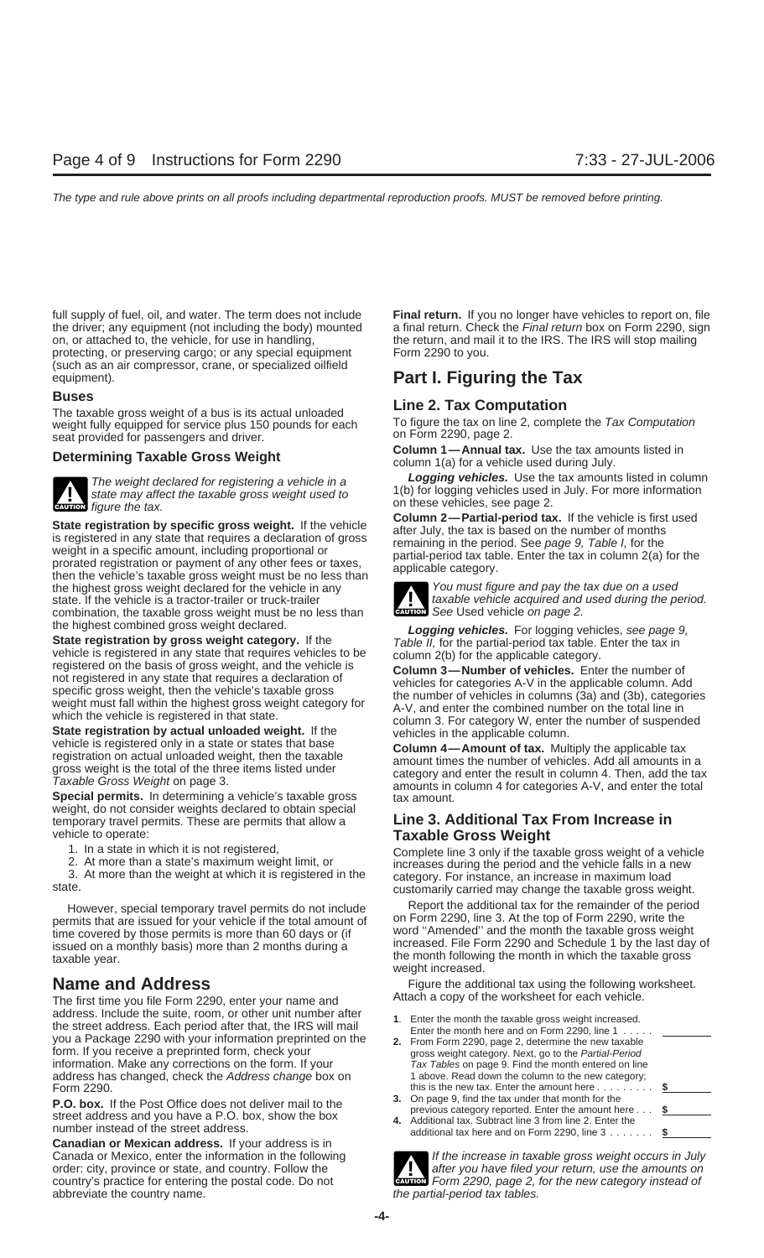protecting, or preserving cargo; or any special equipment (such as an air compressor, crane, or specialized oilfield equipment). **Part I. Figuring the Tax**

**Buses**<br>
The taxable gross weight of a bus is its actual unloaded<br>
Weight fully equipped for service plus 150 pounds for each To figure the tax on line 2, complete the Tax Computation weight fully equipped for service plus 150 pounds for each Tho figure the tax on line<br>
2, completed for passengers and driver seat provided for passengers and driver.



**ENTERN** figure the tax.

State registration by specific gross weight. If the vehicle<br>is registered in any state that requires a declaration of gross<br>weight in a specific amount, including proportional or<br>prorated registration or payment of any oth the highest gross weight declared for the vehicle in any You must figure and pay the tax due on a used state. If the vehicle is a tractor-trailer or truck-trailer **the vehicle acquired and used during the period.**<br>
combination, the taxable gross weight must be no less than combination, the taxable gross weight must be no less than

the highest combined gross weight declared.<br>
State registration by gross weight category. If the<br>
State registered in any state that requires vehicles to be<br>
vehicle is registered in any state that requires vehicles to be<br>

weight, do not consider weights declared to obtain special temporary travel permits. These are permits that allow a **Line 3. Additional Tax From Increase in** vehicle to operate: **Taxable Gross Weight**

The first time you file Form 2290, enter your name and address. Include the suite, room, or other unit number after<br>the street address. Each period after that, the IRS will mail<br>you a Package 2290 with your information preprinted on the<br>form. If you receive a preprinted form, information. Make any corrections on the form. If your address has changed, check the Address change box on 1 above. Read down the column to the new category; Form 2290. this is the new tax. Enter the amount here ............. \$

**P.O. box.** If the Post Office does not deliver mail to the<br>street address and you have a P.O. box, show the box<br>number instead of the street address.<br>additional tax. Subtract line 3 from line 2. Enter the<br>additional tax.

**Canadian or Mexican address.** If your address is in order: city, province or state, and country. Follow the abbreviate the country name.  $t$  the partial-period tax tables.

full supply of fuel, oil, and water. The term does not include **Final return.** If you no longer have vehicles to report on, file the driver; any equipment (not including the body) mounted a final return. Check the Final return box on Form 2290, sign on, or attached to, the vehicle, for use in handling, the return, and mail it to the IRS. The IRS wil the return, and mail it to the IRS. The IRS will stop mailing<br>Form 2290 to you.

**Determining Taxable Gross Weight Column 1—Annual tax.** Use the tax amounts listed in column 1(a) for a vehicle used during July.

The weight declared for registering a vehicle in a<br>state may affect the taxable gross weight used to<br>figure the tax.<br> $\begin{array}{ccc}\n & \text{Logging vehicles. Use the tax amounts listed in column} \\
 & 1(b) \text{ for logging vehicles used in July. For more information} \\
 & \text{on these vehicles, see page 2.} \\
 & \text{Column 2—Partial-period tax. If the vehicle is first used}\n\end{array}$ 



1. In a state in which it is not registered,<br>
2. At more than a state's maximum weight limit, or<br>
3. At more than the weight at which it is registered in the<br>
state.<br>
3. At more than the weight at which it is registered in

However, special temporary travel permits do not include Report the additional tax for the remainder of the period<br>The state of Form 2290, write the result of the total amount of on Form 2290, line 3. At the top of Form 22 permits that are issued for your vehicle if the total amount of time covered by those permits is more than 60 days or (if word "Amended" and the month the taxable gross weight issued on a monthly basis) more than 2 months

**Name and Address**<br>The first time you file Form 2290, enter your name and **Attach a copy of the worksheet for each vehicle**.

- 
- 
- 
- 
- Canada or Mexico, enter the information in the following If the increase in taxable gross weight occurs in July<br>Order: city, province or state, and country. Follow the **If the increase in taxable gross weight occurs in Jul** country's practice for entering the postal code. Do not **CAUTION** Form 2290, page 2, for the new category instead of **!**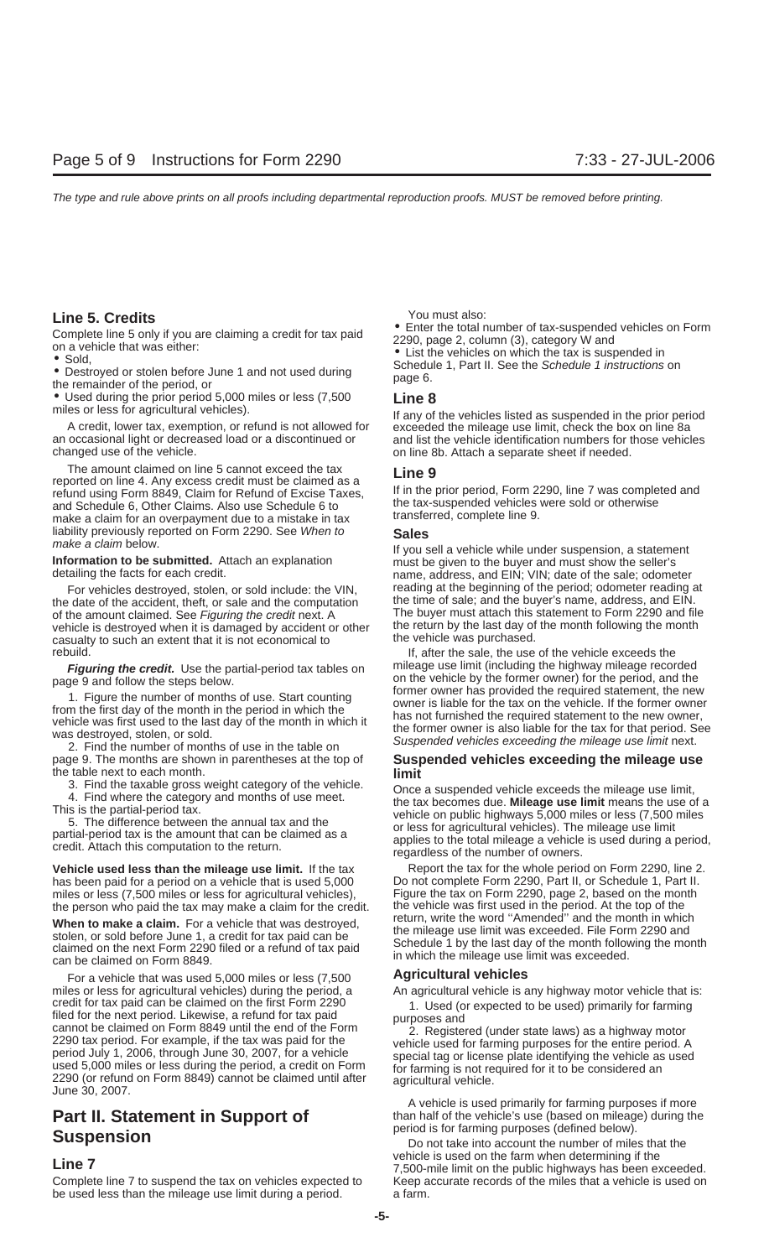• Used during the prior period 5,000 miles or less (7,500 **Line 8**

A credit, lower tax, exemption, or refund is not allowed for an occasional light or decreased load or a discontinued or an occasional light or decreased load or a discontinued or and list the vehicle identification numbers for those vehicles changed use of the vehicle.<br>on line 8b. Attach a separate sheet if needed.

The amount claimed on line 5 cannot exceed the tax<br>
reported on line 4. Any excess credit must be claimed as a<br>
refund using Form 8849, Claim for Refund of Excise Taxes,<br>
and Schedule 6, Other Claims. Also use Schedule 6 t make a claim for an overpayment due to a mistake in tax liability previously reported on Form 2290. See When to **Sales**

the date of the accident, theft, or sale and the computation the time of sale; and the buyer's name, address, and EIN.<br>The buyer must attach this statement to Form 2290 and file of the amount claimed. See Figuring the cred of the amount claimed. See Figuring the credit next. A vehicle is destroyed when it is damaged by accident or other the return by the last day of the month following the month casualty to such an extent that it is not economical to the vehicle was purchased. casualty to such an extent that it is not economical to rebuild. If, after the sale, the use of the vehicle exceeds the

- the table next to each month.<br>3. Find the taxable gross weight category of the vehicle.
	-

**Vehicle used less than the mileage use limit.** If the tax Report the tax for the whole period on Form 2290, line 2. has been paid for a period on a vehicle that is used 5,000 Do not complete Form 2290, Part II, or Schedule 1, Part II. miles or less (7,500 miles or less for agricultural vehicles), Figure the tax on Form 2290, page 2, based on the month the person who paid the tax may make a claim for the credit. the vehicle was first used in the period.

**When to make a claim.** For a vehicle that was destroyed,<br>stolen, or sold before June 1, a credit for tax paid can be<br>claimed on the next Form 2290 filed or a refund of tax paid<br>can be claimed on Form 8849.<br>can be claimed

For a vehicle that was used 5,000 miles or less (7,500 **Agricultural vehicles** miles or less for agricultural vehicles) during the period, a An agricultural vehicle is any highway motor vehicle that is: credit for tax paid can be claimed on the first Form 2290<br>filed for the next period. Likewise, a refund for tax paid<br>cannot be claimed on Form 8849 until the end of the Form<br>2290 tax period. For example, if the tax was pai

be used less than the mileage use limit during a period. a farm.

**Line 5. Credits**<br> **Coursely the set of the condition of the Course** Enter the total number of tax-suspended vehicles on Form

Complete line 5 only if you are claiming a credit for tax paid<br>
on a vehicle that was either:<br>
• Sold,<br>
• Sold,<br>
• Destroyed or stolen before June 1 and not used during<br>
the remainder of the period, or<br>
the remainder of t

If any of the vehicles listed as suspended in the prior period exceeded the mileage use limit, check the box on line 8a on line 8b. Attach a separate sheet if needed.

If you sell a vehicle while under suspension, a statement<br> **Information to be submitted.** Attach an explanation<br>
detailing the facts for each credit.<br>
detailing the facts for each credit.<br>
detailing the facts for each cred For vehicles destroyed, stolen, or sold include: the VIN, reading at the beginning of the period; odometer reading at at the beginning of the period; odometer reading at the scription of the time of sale; and the buyer's n

**Figuring the credit.** Use the partial-period tax tables on mileage use limit (including the highway mileage recorded page 9 and follow the steps below. On the vehicle by the former owner) for the period, and the page 9 and follow the steps below. On the vehicle by the former owner has provided the required statement, the new 1. Figure the number of months of use. Start counting<br>from the first day of the month in the period in which the<br>vehicle was first used to the last day of the month in which it<br>was destroyed, stolen, or sold.<br>2. Find the n

## page 9. The months are shown in parentheses at the top of **Suspended vehicles exceeding the mileage use**

3. Find the taxable gross weight category of the vehicle.<br>
4. Find where the category and months of use meet.<br>
This is the partial-period tax.<br>
5. The difference between the annual tax and the<br>
partial-period tax is the am

the person who paid the tax may make a claim for the credit. the vehicle was first used in the period. At the top of the<br>Mhan to make a claim. Ease vehicle that was dectraved. For return, write the word "Amended" and the m

A vehicle is used primarily for farming purposes if more **Part II. Statement in Support of** the vehicle's use (based on mileage) during the period is for farming purposes (defined below).

**Suspension**<br> **Suspension**<br> **Suspension**<br> **Suspension**<br> **Suspension**<br> **Suspension**<br> **Suspension**<br> **Suspension**<br> **Suspension**<br> **Suspension**<br> **Suspension**<br> **Suspension**<br> **Suspension**<br> **Suspension**<br> **Suspension**<br> **Suspension Line 7** The farm when determining if the **Line 7** 7,500-mile limit on the public highways has been exceeded. Complete line 7 to suspend the tax on vehicles expected to Keep accurate records of the miles that a vehicle is used on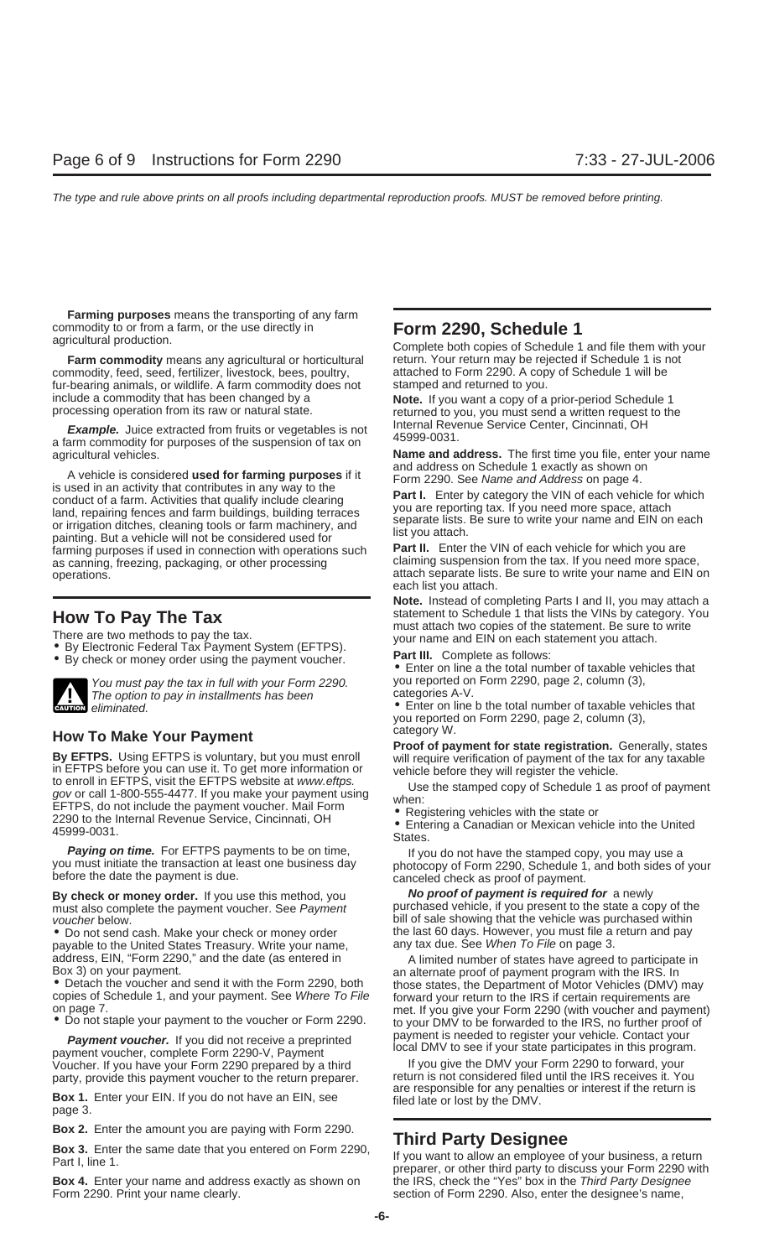**Farming purposes** means the transporting of any farm commodity to or from a farm, or the use directly in **Form 2290, Schedule 1** agricultural production. Complete both copies of Schedule 1 and file them with your

commodity, feed, seed, fertilizer, livestock, bees, poultry, attached to Form 2290. A cop fur-bearing animals, or wildlife. A farm commodity does not stamped and returned to you. fur-bearing animals, or wildlife. A farm commodity does not include a commodity that has been changed by a **Note.** If you want a copy of a prior-period Schedule 1 processing operation from its raw or natural state. **Returned to you, you must send a written request to the** 

**Example.** Juice extracted from fruits or vegetables is not<br>a farm commodity for purposes of the suspension of tax on 45999-0031.

A vehicle is considered **used for farming purposes** if it<br>is used in an activity that contributes in any way to the<br>conduct of a farm. Activities that qualify include clearing<br>land, repairing fences and farm buildings, bui farming purposes if used in connection with operations such **Part II.** Enter the VIN of each vehicle for which you are as canning, freezing, packaging, or other processing claiming suspension from the tax. If you need more space,

- 
- 



You must pay the tax in full with your Form 2290. you reported on Form 2290, page 2, column (3), You reported on Form 2290, page 2, column (3), The option to pay in installments has been categories A-V The control of the categories A-V.

**How To Make Your Payment**<br> **By EFTPS** is voluntary, but you must enroll<br>
to enroll in EFTPS before you can use it. To get more information or<br>
to enroll in EFTPS, visit the EFTPS website at *www.eftps*.<br>
gov or call 1-800

must also complete the payment voucher. See Payment

payable to the United States Treasury. Write your name, address, EIN, "Form 2290," and the date (as entered in

**Payment voucher.** If you did not receive a preprinted payment is needed to register your vehicle. Contact your payment payment voucher, complete Form 2290-V, Payment local DMV to see if your state participates in this pro Voucher. If you have your Form 2290 prepared by a third If you give the DMV your Form 2290 to forward, your<br>Darty, provide this payment youcher to the return preparer. If the return is not considered filed until the IRS re

**Box 1.** Enter your EIN. If you do not have an EIN, see filed late or lost by the DMV. page 3.

**Box 2.** Enter the amount you are paying with Form 2290.<br> **Example 11 Sox 3.** Enter the same date that you entered on Form 2290,<br>
Part I, line 1.<br>
Part I, line 1.<br>
Part I, line 1.

**Box 4.** Enter your name and address exactly as shown on the IRS, check the "Yes" box in the Third Party Designee Form 2290. Print your name clearly. Subsection of Form 2290. Also, enter the designee's name,

**Farm commodity** means any agricultural or horticultural return. Your return may be rejected if Schedule 1 is not<br>mmodity, feed, seed, fertilizer, livestock, bees, poultry, a titached to Form 2290. A copy of Schedule 1 wil

agricultural vehicles.<br>**Name and address.** The first time you file, enter your name<br>and address on Schedule 1 exactly as shown on

operations. attach separate lists. Be sure to write your name and EIN on each list you attach.

**Note.** Instead of completing Parts I and II, you may attach a **How To Pay The Tax** statement to Schedule 1 that lists the VINs by category. You There are two methods to pay the tax.<br>
• By Electronic Federal Tax Payment System (EFTPS).<br>
• By check or money order using the payment voucher.<br>
• By check or money order using the payment voucher.<br>
• Enter on line a the

**E**nter on line b the total number of taxable vehicles that you reported on Form 2290, page 2, column (3),

**Paying on time.** For EFTPS payments to be on time, <br>you must initiate the transaction at least one business day before the date the payment is due.<br>before the date the payment is due. <br>canceled check as proof of payment.

**By check or money order.** If you use this method, you **No proof of payment is required for** a newly voucher below. **bill of sale showing that the vehicle was purchased within** • Do not send cash. Make your check or money order the last 60 days. However, you must file a return and pay<br>payable to the United States Treasury, Write your name. The any tax due. See When To File on page 3.

address, EIN, "Form 2290," and the date (as entered in the mumber of states have agreed to participate in<br>
Box 3) on your payment.<br>
• Detach the voucher and send it with the Form 2290, both<br>
• Department of Motor Vehicles

party, provide this payment voucher to the return preparer. return is not considered filed until the IRS receives it. You<br>are responsible for any penalties or interest if the return is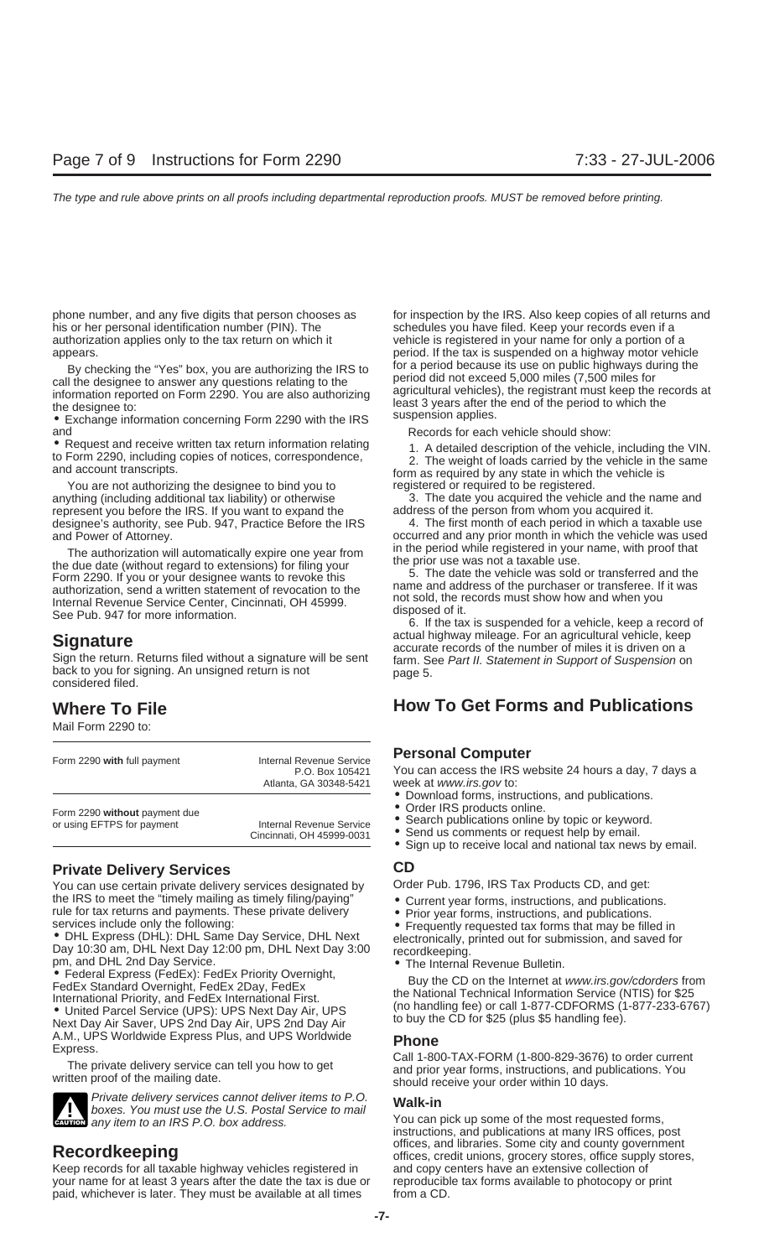his or her personal identification number (PIN). The schedules you have filed. Keep your records even if a authorization applies only to the tax return on which it vehicle is registered in your name for only a portion of a

and<br>• Records for each vehicle should show:<br>• Request and receive written tax return information relating<br>• 1. A detailed description of the vehicle

You are not authorizing the designee to bind you to registered or required to be registered. anything (including additional tax liability) or otherwise 3. The date you acquired the vehicle and the name and represent you before the IRS. If you want to expand the address of the person from whom you acquired it. represent you before the IRS. If you want to expand the address of the person from whom you acquired it.<br>designee's authority, see Pub. 947, Practice Before the IRS 4. The first month of each period in which a taxable use designee's authority, see Pub. 947, Practice Before the IRS and Power of Attorney.

The authorization will automatically expire one year from<br>the period while registered in your name, with proof that<br>the due date (without regard to extensions) for filing your<br>Form 2290. If you or your designee wants to re

Sign the return. Returns filed without a signature will be sent farm. See Part II. Statement in Support of Suspension on back to you for signing. An unsigned return is not page 5. considered filed.

Mail Form 2290 to:

| Form 2290 with full payment   | Internal Revenue Service<br>P.O. Box 105421<br>Atlanta, GA 30348-5421 |  |  |  |  |
|-------------------------------|-----------------------------------------------------------------------|--|--|--|--|
| Form 2290 without payment due | Internal Revenue Service                                              |  |  |  |  |
| or using EFTPS for payment    | Cincinnati, OH 45999-0031                                             |  |  |  |  |

### **Private Delivery Services CD**

You can use certain private delivery services designated by Order Pub. 1796, IRS Tax Products CD, and get:

the IRS to meet the "timely mailing as timely filing/paying"<br>
solutions, and publications.<br>
Services include only the following:<br>
Services include only the following:<br>
Services Include only the CD only of the Day 3:00<br>
Da



Private delivery services cannot deliver items to P.O.<br>boxes. You must use the U.S. Postal Service to mail You can pick up some of the most requested forms, **CAUTION** any item to an IRS P.O. box address. **EUTED** any item to an IRS P.O. box address.

Keep records for all taxable highway vehicles registered in and copy centers have an extensive collection of your name for at least 3 years after the date the tax is due or reproducible tax forms available to photocopy or print paid, whichever is later. They must be available at all times from a CD.

phone number, and any five digits that person chooses as for inspection by the IRS. Also keep copies of all returns and appears. period. If the tax is suspended on a highway motor vehicle By checking the "Yes" box, you are authorizing the IRS to<br>call the designee to answer any questions relating to the<br>information reported on Form 2290. You are also authorizing<br>the designee to:<br>Exchange information concerni

• Request and receive written tax return information relating the M. A detailed description of the vehicle, including the VIN.<br>to Form 2290, including copies of notices, correspondence, 2. The weight of loads carried by th

occurred and any prior month in which the vehicle was used

**Signature**<br>**Signature actual highway mileage. For an agricultural vehicle, keep accurate records of the number of miles it is driven on a** 

### **Where To File How To Get Forms and Publications**

### **Personal Computer**

You can access the IRS website 24 hours a day, 7 days a week at www.irs.gov to:

- Download forms, instructions, and publications.<br>• Order IRS products online.
- 
- Search publications online by topic or keyword.
- Send us comments or request help by email.
- Sign up to receive local and national tax news by email.

- 
- 

A.M., UPS Worldwide Express Plus, and UPS Worldwide<br>
Express.<br>
The private delivery service can tell you how to get<br>
written proof of the mailing date.<br>
Written proof of the mailing date.<br>
Written proof of the mailing date

instructions, and publications at many IRS offices, post **Recordkeeping Recording Recording Recording COV COVEC EXECO EXECO EXECUTE:**  $\frac{1}{2}$  offices, credit unions, grocery stores, office supply stores,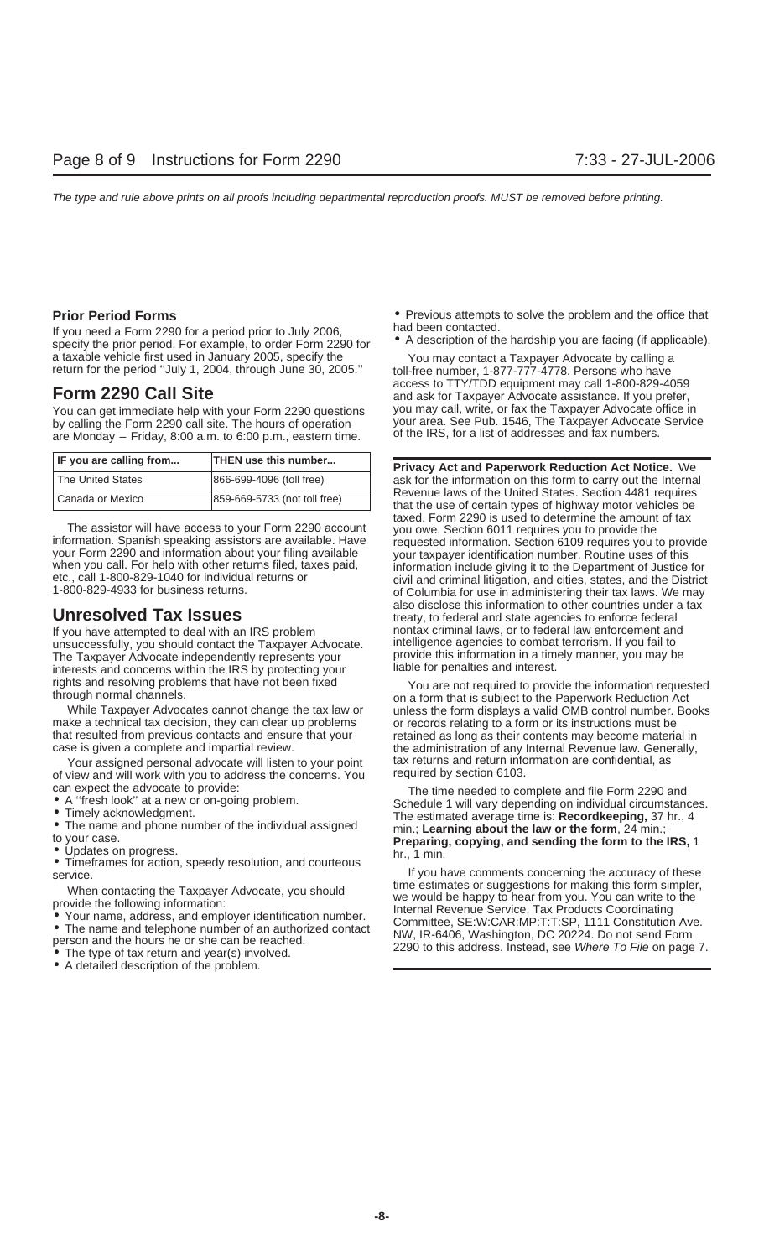If you need a Form 2290 for a period prior to July 2006,<br>specify the prior period. For example, to order Form 2290 for<br>a taxable vehicle first used in January 2005, specify the<br>You may contact a Taxpayer Advocate by callin a taxable vehicle first used in January 2005, specify the You may contact a Taxpayer Advocate by calling a return for the period "July 1, 2004, through June 30, 2005." toll-free number, 1-877-777-4778. Persons who have

You can get immediate help with your Form 2290 questions by calling the Form 2290 call site. The hours of operation your area. See Pub. 1546, The Taxpayer Advocate Service<br>are Monday – Friday 8:00 a m to 6:00 p m eastern time of the IRS, for a list of addresses and fax numbers. are Monday – Friday, 8:00 a.m. to 6:00 p.m., eastern time.

| IF you are calling from | <b>THEN use this number</b>  |  |  |  |
|-------------------------|------------------------------|--|--|--|
| The United States       | 866-699-4096 (toll free)     |  |  |  |
| Canada or Mexico        | 859-669-5733 (not toll free) |  |  |  |

unsuccessfully, you should contact the Taxpayer Advocate. Intelligence agencies to combat terrorism. If you fail to<br>The Taxpayer Advocate independently represents your surreprovide this information in a timely manner, you The Taxpayer Advocate independently represents your provide this information in a time<br>interests and concerns within the IRS by protecting your liable for penalties and interest. interests and concerns within the IRS by protecting your rights and resolving problems that have not been fixed

make a technical tax decision, they can clear up problems or records relating to a form or its instructions must be that resulted from previous contacts and ensure that your retained as long as their contents may become ma that resulted from previous contacts and ensure that your retained as long as their contents may become material in<br>case is given a complete and impartial review.<br>the administration of any Internal Revenue law. Generally,

Your assigned personal advocate will listen to your point tax returns and return information are confidential,<br>tiew and will work with you to address the concerns. You sendined by section 6103. of view and will work with you to address the concerns. You

- 
- 

- 
- 
- A detailed description of the problem.

**Prior Period Forms**<br>**•** Previous attempts to solve the problem and the office that<br>had been contacted.

**Form 2290 Call Site**<br> **Form 2290 Call Site** and ask for Taxpayer Advocate assistance. If you prefer,<br>
You can get immediate help with your Form 2290 questions you may call, write, or fax the Taxpayer Advocate office in

**Privacy Act and Paperwork Reduction Act Notice.** We ask for the information on this form to carry out the Internal Revenue laws of the United States. Section 4481 requires that the use of certain types of highway motor vehicles be taxed. Form 2290 is used to determine the amount of tax The assistor will have access to your Form 2290 account<br>information. Spanish speaking assistors are available. Have<br>your Form 2290 and information about your filing available<br>when you call. For help with other returns file also disclose this information to other countries under a tax **Unresolved Tax Issues inter a the state agencies** to enforce federal and state agencies to enforce federal If you have attempted to deal with an IRS problem nontax criminal laws, or to federal law enforcement and<br>Insuccessfully you should contact the Taxpayer Advocate intelligence agencies to combat terrorism. If you fail to

rights and resolving problems that have not been fixed<br>through normal channels.<br>While Taxpayer Advocates cannot change the tax law or unless the form displays a valid OMB control number. Books unless the form displays a valid OMB control number. Books the administration of any Internal Revenue law. Generally, tax returns and return information are confidential, as

Can expect the advocate to provide:<br>
• A "fresh look" at a new or on-going problem.<br>
• Timely acknowledgment.<br>
• The name and phone number of the individual assigned<br>
• The name and phone number of the individual assigned

• Timeframes for action, speedy resolution, and courteous<br>service.<br>Magnetic the Tevrous Advancte you abould the stimulates or suggestions for making this form simpler, When contacting the Taxpayer Advocate, you should<br>
provide the following information:<br>
• Your name, address, and employer identification number.<br>
• The name and telephone number of an authorized contact<br>
• The type of tax